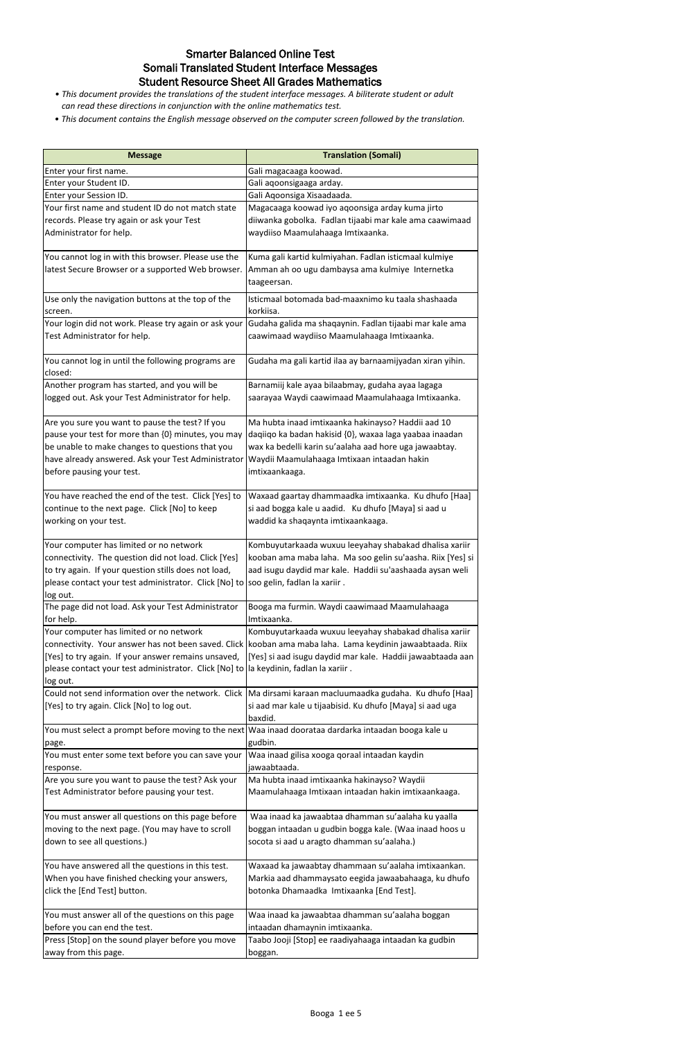| <b>Message</b>                                                                                           | <b>Translation (Somali)</b>                                                                                       |
|----------------------------------------------------------------------------------------------------------|-------------------------------------------------------------------------------------------------------------------|
| Enter your first name.                                                                                   | Gali magacaaga koowad.                                                                                            |
| Enter your Student ID.                                                                                   | Gali aqoonsigaaga arday.                                                                                          |
| Enter your Session ID.                                                                                   | Gali Aqoonsiga Xisaadaada.                                                                                        |
| Your first name and student ID do not match state                                                        | Magacaaga koowad iyo aqoonsiga arday kuma jirto                                                                   |
| records. Please try again or ask your Test                                                               | diiwanka gobolka. Fadlan tijaabi mar kale ama caawimaad                                                           |
| Administrator for help.                                                                                  | waydiiso Maamulahaaga Imtixaanka.                                                                                 |
|                                                                                                          |                                                                                                                   |
| You cannot log in with this browser. Please use the<br>latest Secure Browser or a supported Web browser. | Kuma gali kartid kulmiyahan. Fadlan isticmaal kulmiye<br>Amman ah oo ugu dambaysa ama kulmiye Internetka          |
|                                                                                                          |                                                                                                                   |
|                                                                                                          | taageersan.                                                                                                       |
| Use only the navigation buttons at the top of the                                                        | Isticmaal botomada bad-maaxnimo ku taala shashaada                                                                |
| screen.                                                                                                  | korkiisa.                                                                                                         |
| Your login did not work. Please try again or ask your                                                    | Gudaha galida ma shaqaynin. Fadlan tijaabi mar kale ama                                                           |
| Test Administrator for help.                                                                             | caawimaad waydiiso Maamulahaaga Imtixaanka.                                                                       |
| You cannot log in until the following programs are                                                       | Gudaha ma gali kartid ilaa ay barnaamijyadan xiran yihin.                                                         |
| closed:                                                                                                  |                                                                                                                   |
| Another program has started, and you will be                                                             | Barnamiij kale ayaa bilaabmay, gudaha ayaa lagaga                                                                 |
| logged out. Ask your Test Administrator for help.                                                        | saarayaa Waydi caawimaad Maamulahaaga Imtixaanka.                                                                 |
|                                                                                                          |                                                                                                                   |
| Are you sure you want to pause the test? If you                                                          | Ma hubta inaad imtixaanka hakinayso? Haddii aad 10                                                                |
| pause your test for more than {0} minutes, you may                                                       | daqiiqo ka badan hakisid {0}, waxaa laga yaabaa inaadan                                                           |
| be unable to make changes to questions that you                                                          | wax ka bedelli karin su'aalaha aad hore uga jawaabtay.                                                            |
| have already answered. Ask your Test Administrator                                                       | Waydii Maamulahaaga Imtixaan intaadan hakin                                                                       |
| before pausing your test.                                                                                | imtixaankaaga.                                                                                                    |
|                                                                                                          |                                                                                                                   |
| You have reached the end of the test. Click [Yes] to                                                     | Waxaad gaartay dhammaadka imtixaanka. Ku dhufo [Haa]                                                              |
| continue to the next page. Click [No] to keep                                                            | si aad bogga kale u aadid. Ku dhufo [Maya] si aad u                                                               |
| working on your test.                                                                                    | waddid ka shaqaynta imtixaankaaga.                                                                                |
|                                                                                                          | Kombuyutarkaada wuxuu leeyahay shabakad dhalisa xariir                                                            |
| Your computer has limited or no network<br>connectivity. The question did not load. Click [Yes]          | kooban ama maba laha. Ma soo gelin su'aasha. Riix [Yes] si                                                        |
| to try again. If your question stills does not load,                                                     | aad isugu daydid mar kale. Haddii su'aashaada aysan weli                                                          |
| please contact your test administrator. Click [No] to soo gelin, fadlan la xariir.                       |                                                                                                                   |
| log out.                                                                                                 |                                                                                                                   |
| The page did not load. Ask your Test Administrator                                                       | Booga ma furmin. Waydi caawimaad Maamulahaaga                                                                     |
| for help.                                                                                                | Imtixaanka.                                                                                                       |
| Your computer has limited or no network                                                                  | Kombuyutarkaada wuxuu leeyahay shabakad dhalisa xariir                                                            |
|                                                                                                          | connectivity. Your answer has not been saved. Click   kooban ama maba laha. Lama keydinin jawaabtaada. Riix       |
| [Yes] to try again. If your answer remains unsaved,                                                      | [Yes] si aad isugu daydid mar kale. Haddii jawaabtaada aan                                                        |
| please contact your test administrator. Click [No] to la keydinin, fadlan la xariir.                     |                                                                                                                   |
| log out.                                                                                                 |                                                                                                                   |
| Could not send information over the network. Click                                                       | Ma dirsami karaan macluumaadka gudaha. Ku dhufo [Haa]                                                             |
| [Yes] to try again. Click [No] to log out.                                                               | si aad mar kale u tijaabisid. Ku dhufo [Maya] si aad uga                                                          |
|                                                                                                          | baxdid.                                                                                                           |
|                                                                                                          | You must select a prompt before moving to the next   Waa inaad doorataa dardarka intaadan booga kale u<br>gudbin. |
| page.<br>You must enter some text before you can save your                                               | Waa inaad gilisa xooga qoraal intaadan kaydin                                                                     |
| response.                                                                                                | jawaabtaada.                                                                                                      |
| Are you sure you want to pause the test? Ask your                                                        | Ma hubta inaad imtixaanka hakinayso? Waydii                                                                       |
| Test Administrator before pausing your test.                                                             | Maamulahaaga Imtixaan intaadan hakin imtixaankaaga.                                                               |
|                                                                                                          |                                                                                                                   |
| You must answer all questions on this page before                                                        | Waa inaad ka jawaabtaa dhamman su'aalaha ku yaalla                                                                |
| moving to the next page. (You may have to scroll                                                         | boggan intaadan u gudbin bogga kale. (Waa inaad hoos u                                                            |
| down to see all questions.)                                                                              | socota si aad u aragto dhamman su'aalaha.)                                                                        |
|                                                                                                          |                                                                                                                   |
| You have answered all the questions in this test.                                                        | Waxaad ka jawaabtay dhammaan su'aalaha imtixaankan.                                                               |
| When you have finished checking your answers,                                                            | Markia aad dhammaysato eegida jawaabahaaga, ku dhufo                                                              |
| click the [End Test] button.                                                                             | botonka Dhamaadka Imtixaanka [End Test].                                                                          |
|                                                                                                          |                                                                                                                   |
| You must answer all of the questions on this page                                                        | Waa inaad ka jawaabtaa dhamman su'aalaha boggan                                                                   |
| before you can end the test.<br>Press [Stop] on the sound player before you move                         | intaadan dhamaynin imtixaanka.<br>Taabo Jooji [Stop] ee raadiyahaaga intaadan ka gudbin                           |
| away from this page.                                                                                     | boggan.                                                                                                           |
|                                                                                                          |                                                                                                                   |

# Smarter Balanced Online Test Somali Translated Student Interface Messages Student Resource Sheet All Grades Mathematics

- *This document provides the translations of the student interface messages. A biliterate student or adult can read these directions in conjunction with the online mathematics test.*
- *This document contains the English message observed on the computer screen followed by the translation.*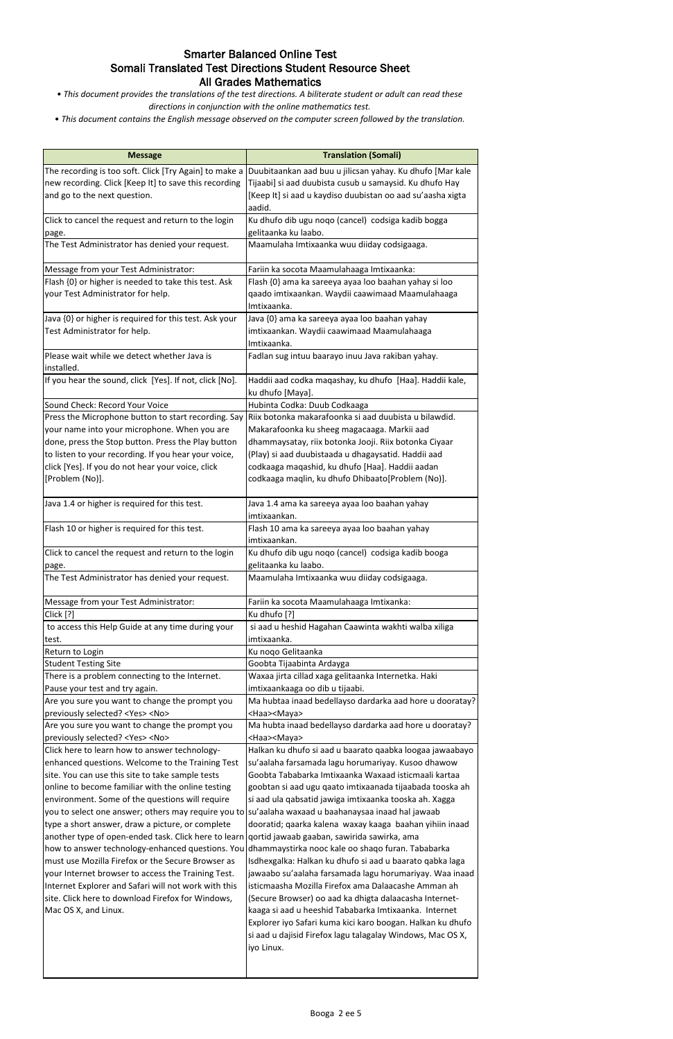### Smarter Balanced Online Test Somali Translated Test Directions Student Resource Sheet All Grades Mathematics

*• This document provides the translations of the test directions. A biliterate student or adult can read these directions in conjunction with the online mathematics test.*

| <b>Message</b>                                            | <b>Translation (Somali)</b>                                                             |
|-----------------------------------------------------------|-----------------------------------------------------------------------------------------|
| The recording is too soft. Click [Try Again] to make a    | Duubitaankan aad buu u jilicsan yahay. Ku dhufo [Mar kale                               |
| new recording. Click [Keep It] to save this recording     | Tijaabi] si aad duubista cusub u samaysid. Ku dhufo Hay                                 |
| and go to the next question.                              | [Keep It] si aad u kaydiso duubistan oo aad su'aasha xigta                              |
|                                                           | aadid.                                                                                  |
| Click to cancel the request and return to the login       | Ku dhufo dib ugu noqo (cancel) codsiga kadib bogga                                      |
| page.                                                     | gelitaanka ku laabo.                                                                    |
| The Test Administrator has denied your request.           | Maamulaha Imtixaanka wuu diiday codsigaaga.                                             |
| Message from your Test Administrator:                     | Fariin ka socota Maamulahaaga Imtixaanka:                                               |
| Flash {0} or higher is needed to take this test. Ask      | Flash {0} ama ka sareeya ayaa loo baahan yahay si loo                                   |
| your Test Administrator for help.                         | qaado imtixaankan. Waydii caawimaad Maamulahaaga                                        |
|                                                           | Imtixaanka.                                                                             |
| Java {0} or higher is required for this test. Ask your    | Java {0} ama ka sareeya ayaa loo baahan yahay                                           |
| Test Administrator for help.                              | imtixaankan. Waydii caawimaad Maamulahaaga                                              |
|                                                           | Imtixaanka.                                                                             |
| Please wait while we detect whether Java is<br>installed. | Fadlan sug intuu baarayo inuu Java rakiban yahay.                                       |
| If you hear the sound, click [Yes]. If not, click [No].   | Haddii aad codka maqashay, ku dhufo [Haa]. Haddii kale,                                 |
|                                                           | ku dhufo [Maya].                                                                        |
| Sound Check: Record Your Voice                            | Hubinta Codka: Duub Codkaaga                                                            |
| Press the Microphone button to start recording. Say       | Riix botonka makarafoonka si aad duubista u bilawdid.                                   |
| your name into your microphone. When you are              | Makarafoonka ku sheeg magacaaga. Markii aad                                             |
| done, press the Stop button. Press the Play button        | dhammaysatay, riix botonka Jooji. Riix botonka Ciyaar                                   |
| to listen to your recording. If you hear your voice,      | (Play) si aad duubistaada u dhagaysatid. Haddii aad                                     |
| click [Yes]. If you do not hear your voice, click         | codkaaga maqashid, ku dhufo [Haa]. Haddii aadan                                         |
| [Problem (No)].                                           | codkaaga maqlin, ku dhufo Dhibaato[Problem (No)].                                       |
| Java 1.4 or higher is required for this test.             | Java 1.4 ama ka sareeya ayaa loo baahan yahay                                           |
|                                                           | imtixaankan.                                                                            |
| Flash 10 or higher is required for this test.             | Flash 10 ama ka sareeya ayaa loo baahan yahay                                           |
|                                                           | imtixaankan.                                                                            |
| Click to cancel the request and return to the login       | Ku dhufo dib ugu noqo (cancel) codsiga kadib booga                                      |
| page.                                                     | gelitaanka ku laabo.                                                                    |
| The Test Administrator has denied your request.           | Maamulaha Imtixaanka wuu diiday codsigaaga.                                             |
| Message from your Test Administrator:                     | Fariin ka socota Maamulahaaga Imtixanka:                                                |
| Click [?]                                                 | Ku dhufo [?]                                                                            |
| to access this Help Guide at any time during your         | si aad u heshid Hagahan Caawinta wakhti walba xiliga                                    |
| test.                                                     | imtixaanka.                                                                             |
| Return to Login                                           | Ku noqo Gelitaanka                                                                      |
| <b>Student Testing Site</b>                               | Goobta Tijaabinta Ardayga                                                               |
| There is a problem connecting to the Internet.            | Waxaa jirta cillad xaga gelitaanka Internetka. Haki                                     |
| Pause your test and try again.                            | imtixaankaaga oo dib u tijaabi.                                                         |
| Are you sure you want to change the prompt you            | Ma hubtaa inaad bedellayso dardarka aad hore u dooratay?                                |
| previously selected? <yes> <no></no></yes>                | <haa><maya></maya></haa>                                                                |
| Are you sure you want to change the prompt you            | Ma hubta inaad bedellayso dardarka aad hore u dooratay?                                 |
| previously selected? <yes> <no></no></yes>                | <haa><maya></maya></haa>                                                                |
| Click here to learn how to answer technology-             | Halkan ku dhufo si aad u baarato qaabka loogaa jawaabayo<br>anada lagu harunaariyay Kus |

aalaha farsamada lagu horumariyay. Kusoo dhawc Goobta Tababarka Imtixaanka Waxaad isticmaali kartaa goobtan si aad ugu qaato imtixaanada tijaabada tooska ah si aad ula qabsatid jawiga imtixaanka tooska ah. Xagga dooratid; qaarka kalena waxay kaaga baahan yihiin inaad qortid jawaab gaaban, sawirida sawirka, ama dhammaystirka nooc kale oo shaqo furan. Tababarka Isdhexgalka: Halkan ku dhufo si aad u baarato qabka laga jawaabo su'aalaha farsamada lagu horumariyay. Waa inaad isticmaasha Mozilla Firefox ama Dalaacashe Amman ah (Secure Browser) oo aad ka dhigta dalaacasha Internetkaaga si aad u heeshid Tababarka Imtixaanka. Internet Explorer iyo Safari kuma kici karo boogan. Halkan ku dhufo si aad u dajisid Firefox lagu talagalay Windows, Mac OS X, iyo Linux.

enhanced questions. Welcome to the Training Test site. You can use this site to take sample tests online to become familiar with the online testing environment. Some of the questions will require you to select one answer; others may require you to su'aalaha waxaad u baahanaysaa inaad hal jawaab type a short answer, draw a picture, or complete another type of open-ended task. Click here to learn how to answer technology-enhanced questions. You must use Mozilla Firefox or the Secure Browser as your Internet browser to access the Training Test. Internet Explorer and Safari will not work with this site. Click here to download Firefox for Windows, Mac OS X, and Linux.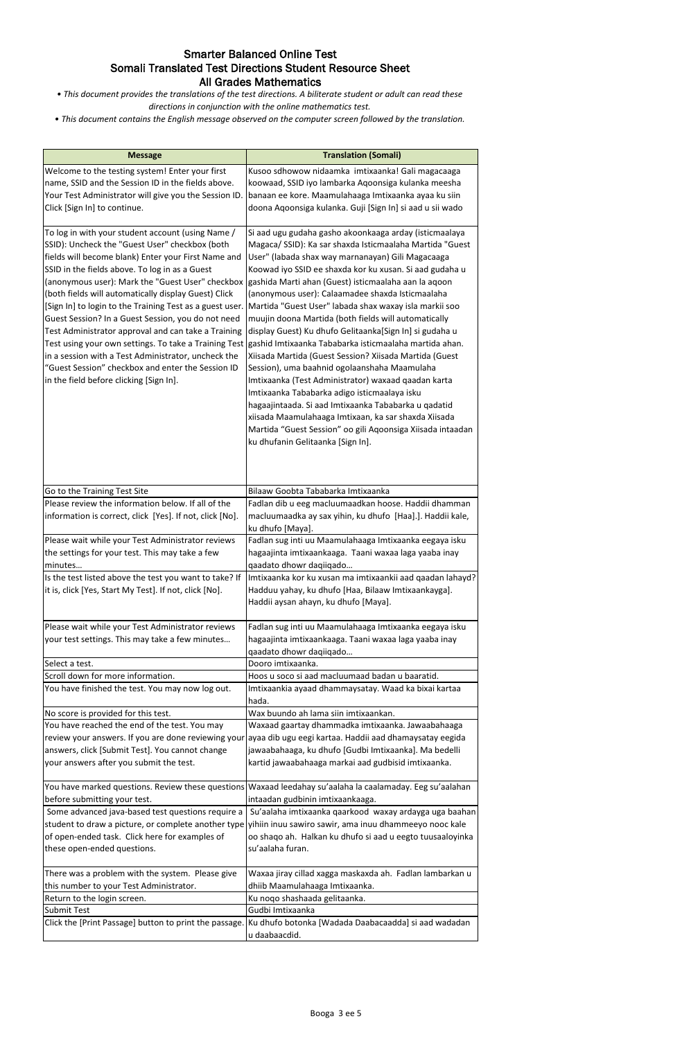## Smarter Balanced Online Test Somali Translated Test Directions Student Resource Sheet All Grades Mathematics

*• This document provides the translations of the test directions. A biliterate student or adult can read these directions in conjunction with the online mathematics test.*

| <b>Message</b>                                                                                                                                                                                                                                                                                                                                                                                                                                                                                                                                                                                                       | <b>Translation (Somali)</b>                                                                                                                   |
|----------------------------------------------------------------------------------------------------------------------------------------------------------------------------------------------------------------------------------------------------------------------------------------------------------------------------------------------------------------------------------------------------------------------------------------------------------------------------------------------------------------------------------------------------------------------------------------------------------------------|-----------------------------------------------------------------------------------------------------------------------------------------------|
| Welcome to the testing system! Enter your first                                                                                                                                                                                                                                                                                                                                                                                                                                                                                                                                                                      | Kusoo sdhowow nidaamka imtixaanka! Gali magacaaga                                                                                             |
| name, SSID and the Session ID in the fields above.                                                                                                                                                                                                                                                                                                                                                                                                                                                                                                                                                                   | koowaad, SSID iyo lambarka Aqoonsiga kulanka meesha                                                                                           |
|                                                                                                                                                                                                                                                                                                                                                                                                                                                                                                                                                                                                                      | banaan ee kore. Maamulahaaga Imtixaanka ayaa ku siin                                                                                          |
| Your Test Administrator will give you the Session ID.                                                                                                                                                                                                                                                                                                                                                                                                                                                                                                                                                                |                                                                                                                                               |
| Click [Sign In] to continue.                                                                                                                                                                                                                                                                                                                                                                                                                                                                                                                                                                                         | doona Aqoonsiga kulanka. Guji [Sign In] si aad u sii wado                                                                                     |
| To log in with your student account (using Name /                                                                                                                                                                                                                                                                                                                                                                                                                                                                                                                                                                    | Si aad ugu gudaha gasho akoonkaaga arday (isticmaalaya                                                                                        |
| SSID): Uncheck the "Guest User" checkbox (both                                                                                                                                                                                                                                                                                                                                                                                                                                                                                                                                                                       | Magaca/ SSID): Ka sar shaxda Isticmaalaha Martida "Guest                                                                                      |
| fields will become blank) Enter your First Name and                                                                                                                                                                                                                                                                                                                                                                                                                                                                                                                                                                  | User" (labada shax way marnanayan) Gili Magacaaga                                                                                             |
| SSID in the fields above. To log in as a Guest                                                                                                                                                                                                                                                                                                                                                                                                                                                                                                                                                                       | Koowad iyo SSID ee shaxda kor ku xusan. Si aad gudaha u                                                                                       |
|                                                                                                                                                                                                                                                                                                                                                                                                                                                                                                                                                                                                                      | (anonymous user): Mark the "Guest User" checkbox  gashida Marti ahan (Guest) isticmaalaha aan la aqoon                                        |
| (both fields will automatically display Guest) Click                                                                                                                                                                                                                                                                                                                                                                                                                                                                                                                                                                 | (anonymous user): Calaamadee shaxda Isticmaalaha                                                                                              |
| [Sign In] to login to the Training Test as a guest user                                                                                                                                                                                                                                                                                                                                                                                                                                                                                                                                                              | Martida "Guest User" labada shax waxay isla markii soo                                                                                        |
| Guest Session? In a Guest Session, you do not need                                                                                                                                                                                                                                                                                                                                                                                                                                                                                                                                                                   | muujin doona Martida (both fields will automatically                                                                                          |
| Test Administrator approval and can take a Training                                                                                                                                                                                                                                                                                                                                                                                                                                                                                                                                                                  | display Guest) Ku dhufo Gelitaanka[Sign In] si gudaha u                                                                                       |
|                                                                                                                                                                                                                                                                                                                                                                                                                                                                                                                                                                                                                      | Test using your own settings. To take a Training Test  gashid Imtixaanka Tababarka isticmaalaha martida ahan.                                 |
| in a session with a Test Administrator, uncheck the                                                                                                                                                                                                                                                                                                                                                                                                                                                                                                                                                                  | Xiisada Martida (Guest Session? Xiisada Martida (Guest                                                                                        |
| "Guest Session" checkbox and enter the Session ID                                                                                                                                                                                                                                                                                                                                                                                                                                                                                                                                                                    | Session), uma baahnid ogolaanshaha Maamulaha                                                                                                  |
| in the field before clicking [Sign In].                                                                                                                                                                                                                                                                                                                                                                                                                                                                                                                                                                              | Imtixaanka (Test Administrator) waxaad qaadan karta                                                                                           |
|                                                                                                                                                                                                                                                                                                                                                                                                                                                                                                                                                                                                                      | Imtixaanka Tababarka adigo isticmaalaya isku                                                                                                  |
|                                                                                                                                                                                                                                                                                                                                                                                                                                                                                                                                                                                                                      |                                                                                                                                               |
|                                                                                                                                                                                                                                                                                                                                                                                                                                                                                                                                                                                                                      | hagaajintaada. Si aad Imtixaanka Tababarka u qadatid                                                                                          |
|                                                                                                                                                                                                                                                                                                                                                                                                                                                                                                                                                                                                                      | xiisada Maamulahaaga Imtixaan, ka sar shaxda Xiisada                                                                                          |
|                                                                                                                                                                                                                                                                                                                                                                                                                                                                                                                                                                                                                      | Martida "Guest Session" oo gili Aqoonsiga Xiisada intaadan                                                                                    |
|                                                                                                                                                                                                                                                                                                                                                                                                                                                                                                                                                                                                                      | ku dhufanin Gelitaanka [Sign In].                                                                                                             |
|                                                                                                                                                                                                                                                                                                                                                                                                                                                                                                                                                                                                                      |                                                                                                                                               |
| Go to the Training Test Site                                                                                                                                                                                                                                                                                                                                                                                                                                                                                                                                                                                         | Bilaaw Goobta Tababarka Imtixaanka                                                                                                            |
| Please review the information below. If all of the                                                                                                                                                                                                                                                                                                                                                                                                                                                                                                                                                                   | Fadlan dib u eeg macluumaadkan hoose. Haddii dhamman                                                                                          |
| information is correct, click [Yes]. If not, click [No].                                                                                                                                                                                                                                                                                                                                                                                                                                                                                                                                                             | macluumaadka ay sax yihin, ku dhufo [Haa].]. Haddii kale,                                                                                     |
|                                                                                                                                                                                                                                                                                                                                                                                                                                                                                                                                                                                                                      | ku dhufo [Maya].                                                                                                                              |
| Please wait while your Test Administrator reviews                                                                                                                                                                                                                                                                                                                                                                                                                                                                                                                                                                    | Fadlan sug inti uu Maamulahaaga Imtixaanka eegaya isku                                                                                        |
| the settings for your test. This may take a few                                                                                                                                                                                                                                                                                                                                                                                                                                                                                                                                                                      | hagaajinta imtixaankaaga. Taani waxaa laga yaaba inay                                                                                         |
| minutes                                                                                                                                                                                                                                                                                                                                                                                                                                                                                                                                                                                                              | qaadato dhowr daqiiqado                                                                                                                       |
| Is the test listed above the test you want to take? If                                                                                                                                                                                                                                                                                                                                                                                                                                                                                                                                                               | Imtixaanka kor ku xusan ma imtixaankii aad qaadan lahayd?                                                                                     |
| it is, click [Yes, Start My Test]. If not, click [No].                                                                                                                                                                                                                                                                                                                                                                                                                                                                                                                                                               | Hadduu yahay, ku dhufo [Haa, Bilaaw Imtixaankayga].                                                                                           |
|                                                                                                                                                                                                                                                                                                                                                                                                                                                                                                                                                                                                                      | Haddii aysan ahayn, ku dhufo [Maya].                                                                                                          |
| Please wait while your Test Administrator reviews                                                                                                                                                                                                                                                                                                                                                                                                                                                                                                                                                                    | Fadlan sug inti uu Maamulahaaga Imtixaanka eegaya isku                                                                                        |
| your test settings. This may take a few minutes                                                                                                                                                                                                                                                                                                                                                                                                                                                                                                                                                                      | hagaajinta imtixaankaaga. Taani waxaa laga yaaba inay                                                                                         |
|                                                                                                                                                                                                                                                                                                                                                                                                                                                                                                                                                                                                                      | qaadato dhowr daqiiqado                                                                                                                       |
| Select a test.                                                                                                                                                                                                                                                                                                                                                                                                                                                                                                                                                                                                       | Dooro imtixaanka.                                                                                                                             |
| Scroll down for more information.                                                                                                                                                                                                                                                                                                                                                                                                                                                                                                                                                                                    |                                                                                                                                               |
|                                                                                                                                                                                                                                                                                                                                                                                                                                                                                                                                                                                                                      | Hoos u soco si aad macluumaad badan u baaratid.                                                                                               |
|                                                                                                                                                                                                                                                                                                                                                                                                                                                                                                                                                                                                                      |                                                                                                                                               |
|                                                                                                                                                                                                                                                                                                                                                                                                                                                                                                                                                                                                                      | Imtixaankia ayaad dhammaysatay. Waad ka bixai kartaa<br>hada.                                                                                 |
|                                                                                                                                                                                                                                                                                                                                                                                                                                                                                                                                                                                                                      | Wax buundo ah lama siin imtixaankan.                                                                                                          |
|                                                                                                                                                                                                                                                                                                                                                                                                                                                                                                                                                                                                                      | Waxaad gaartay dhammadka imtixaanka. Jawaabahaaga                                                                                             |
|                                                                                                                                                                                                                                                                                                                                                                                                                                                                                                                                                                                                                      | ayaa dib ugu eegi kartaa. Haddii aad dhamaysatay eegida                                                                                       |
|                                                                                                                                                                                                                                                                                                                                                                                                                                                                                                                                                                                                                      | jawaabahaaga, ku dhufo [Gudbi Imtixaanka]. Ma bedelli                                                                                         |
|                                                                                                                                                                                                                                                                                                                                                                                                                                                                                                                                                                                                                      | kartid jawaabahaaga markai aad gudbisid imtixaanka.                                                                                           |
|                                                                                                                                                                                                                                                                                                                                                                                                                                                                                                                                                                                                                      |                                                                                                                                               |
|                                                                                                                                                                                                                                                                                                                                                                                                                                                                                                                                                                                                                      | You have marked questions. Review these questions Waxaad leedahay su'aalaha la caalamaday. Eeg su'aalahan<br>intaadan gudbinin imtixaankaaga. |
| Some advanced java-based test questions require a                                                                                                                                                                                                                                                                                                                                                                                                                                                                                                                                                                    | Su'aalaha imtixaanka qaarkood waxay ardayga uga baahan                                                                                        |
|                                                                                                                                                                                                                                                                                                                                                                                                                                                                                                                                                                                                                      | student to draw a picture, or complete another type vihiin inuu sawiro sawir, ama inuu dhammeeyo nooc kale                                    |
|                                                                                                                                                                                                                                                                                                                                                                                                                                                                                                                                                                                                                      |                                                                                                                                               |
|                                                                                                                                                                                                                                                                                                                                                                                                                                                                                                                                                                                                                      | oo shaqo ah. Halkan ku dhufo si aad u eegto tuusaaloyinka<br>su'aalaha furan.                                                                 |
|                                                                                                                                                                                                                                                                                                                                                                                                                                                                                                                                                                                                                      | Waxaa jiray cillad xagga maskaxda ah. Fadlan lambarkan u                                                                                      |
|                                                                                                                                                                                                                                                                                                                                                                                                                                                                                                                                                                                                                      | dhiib Maamulahaaga Imtixaanka.                                                                                                                |
|                                                                                                                                                                                                                                                                                                                                                                                                                                                                                                                                                                                                                      | Ku noqo shashaada gelitaanka.                                                                                                                 |
|                                                                                                                                                                                                                                                                                                                                                                                                                                                                                                                                                                                                                      | Gudbi Imtixaanka                                                                                                                              |
| You have finished the test. You may now log out.<br>No score is provided for this test.<br>You have reached the end of the test. You may<br>review your answers. If you are done reviewing your<br>answers, click [Submit Test]. You cannot change<br>your answers after you submit the test.<br>before submitting your test.<br>of open-ended task. Click here for examples of<br>these open-ended questions.<br>There was a problem with the system. Please give<br>this number to your Test Administrator.<br>Return to the login screen.<br>Submit Test<br>Click the [Print Passage] button to print the passage | Ku dhufo botonka [Wadada Daabacaadda] si aad wadadan                                                                                          |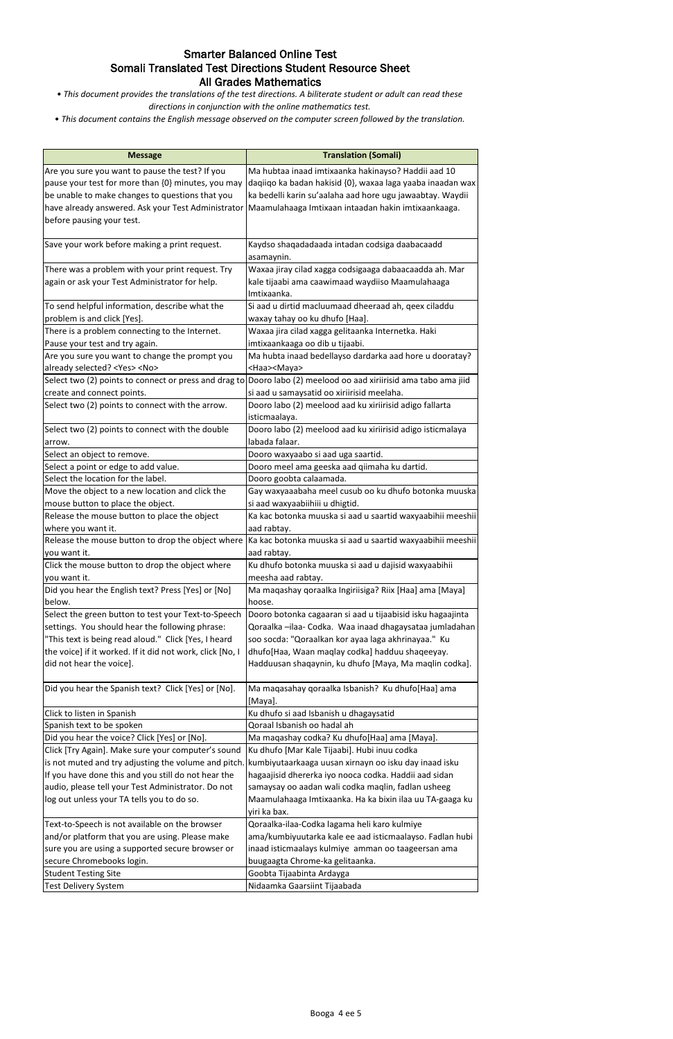## Smarter Balanced Online Test Somali Translated Test Directions Student Resource Sheet All Grades Mathematics

*• This document provides the translations of the test directions. A biliterate student or adult can read these directions in conjunction with the online mathematics test.*

| <b>Message</b>                                                     | <b>Translation (Somali)</b>                                         |
|--------------------------------------------------------------------|---------------------------------------------------------------------|
| Are you sure you want to pause the test? If you                    | Ma hubtaa inaad imtixaanka hakinayso? Haddii aad 10                 |
| pause your test for more than {0} minutes, you may                 | daqiiqo ka badan hakisid {0}, waxaa laga yaaba inaadan wax          |
| be unable to make changes to questions that you                    | ka bedelli karin su'aalaha aad hore ugu jawaabtay. Waydii           |
| have already answered. Ask your Test Administrator                 | Maamulahaaga Imtixaan intaadan hakin imtixaankaaga.                 |
| before pausing your test.                                          |                                                                     |
|                                                                    |                                                                     |
| Save your work before making a print request.                      | Kaydso shaqadadaada intadan codsiga daabacaadd                      |
|                                                                    | asamaynin.                                                          |
| There was a problem with your print request. Try                   | Waxaa jiray cilad xagga codsigaaga dabaacaadda ah. Mar              |
| again or ask your Test Administrator for help.                     | kale tijaabi ama caawimaad waydiiso Maamulahaaga                    |
| To send helpful information, describe what the                     | Imtixaanka.<br>Si aad u dirtid macluumaad dheeraad ah, qeex ciladdu |
| problem is and click [Yes].                                        | waxay tahay oo ku dhufo [Haa].                                      |
| There is a problem connecting to the Internet.                     | Waxaa jira cilad xagga gelitaanka Internetka. Haki                  |
| Pause your test and try again.                                     | imtixaankaaga oo dib u tijaabi.                                     |
| Are you sure you want to change the prompt you                     | Ma hubta inaad bedellayso dardarka aad hore u dooratay?             |
| already selected? <yes> <no></no></yes>                            | <haa><maya></maya></haa>                                            |
| Select two (2) points to connect or press and drag to              | Dooro labo (2) meelood oo aad xiriirisid ama tabo ama jiid          |
| create and connect points.                                         | si aad u samaysatid oo xiriirisid meelaha.                          |
| Select two (2) points to connect with the arrow.                   | Dooro labo (2) meelood aad ku xiriirisid adigo fallarta             |
|                                                                    | isticmaalaya.                                                       |
| Select two (2) points to connect with the double                   | Dooro labo (2) meelood aad ku xiriirisid adigo isticmalaya          |
| arrow.                                                             | labada falaar.                                                      |
| Select an object to remove.                                        | Dooro waxyaabo si aad uga saartid.                                  |
| Select a point or edge to add value.                               | Dooro meel ama geeska aad qiimaha ku dartid.                        |
| Select the location for the label.                                 | Dooro goobta calaamada.                                             |
| Move the object to a new location and click the                    | Gay waxyaaabaha meel cusub oo ku dhufo botonka muuska               |
| mouse button to place the object.                                  | si aad waxyaabiihiii u dhigtid.                                     |
| Release the mouse button to place the object                       | Ka kac botonka muuska si aad u saartid waxyaabihii meeshii          |
| where you want it.                                                 | aad rabtay.                                                         |
| Release the mouse button to drop the object where                  | Ka kac botonka muuska si aad u saartid waxyaabihii meeshii          |
| you want it.                                                       | aad rabtay.                                                         |
| Click the mouse button to drop the object where                    | Ku dhufo botonka muuska si aad u dajisid waxyaabihii                |
| you want it.<br>Did you hear the English text? Press [Yes] or [No] | meesha aad rabtay.                                                  |
| below.                                                             | Ma maqashay qoraalka Ingiriisiga? Riix [Haa] ama [Maya]<br>hoose.   |
| Select the green button to test your Text-to-Speech                | Dooro botonka cagaaran si aad u tijaabisid isku hagaajinta          |
| settings. You should hear the following phrase:                    | Qoraalka -ilaa- Codka. Waa inaad dhagaysataa jumladahan             |
| "This text is being read aloud." Click [Yes, I heard               | soo socda: "Qoraalkan kor ayaa laga akhrinayaa." Ku                 |
| the voice] if it worked. If it did not work, click [No, I          | dhufo[Haa, Waan maqlay codka] hadduu shaqeeyay.                     |
| did not hear the voice].                                           | Hadduusan shaqaynin, ku dhufo [Maya, Ma maqlin codka].              |
|                                                                    |                                                                     |
| Did you hear the Spanish text? Click [Yes] or [No].                | Ma maqasahay qoraalka Isbanish? Ku dhufo[Haa] ama                   |
|                                                                    | [Maya].                                                             |
| Click to listen in Spanish                                         | Ku dhufo si aad Isbanish u dhagaysatid                              |
| Spanish text to be spoken                                          | Qoraal Isbanish oo hadal ah                                         |
| Did you hear the voice? Click [Yes] or [No].                       | Ma maqashay codka? Ku dhufo[Haa] ama [Maya].                        |
| Click [Try Again]. Make sure your computer's sound                 | Ku dhufo [Mar Kale Tijaabi]. Hubi inuu codka                        |
| is not muted and try adjusting the volume and pitch.               | kumbiyutaarkaaga uusan xirnayn oo isku day inaad isku               |
| If you have done this and you still do not hear the                | hagaajisid dhererka iyo nooca codka. Haddii aad sidan               |
| audio, please tell your Test Administrator. Do not                 | samaysay oo aadan wali codka maqlin, fadlan usheeg                  |
| log out unless your TA tells you to do so.                         | Maamulahaaga Imtixaanka. Ha ka bixin ilaa uu TA-gaaga ku            |
|                                                                    | yiri ka bax.                                                        |
| Text-to-Speech is not available on the browser                     | Qoraalka-ilaa-Codka lagama heli karo kulmiye                        |
| and/or platform that you are using. Please make                    | ama/kumbiyuutarka kale ee aad isticmaalayso. Fadlan hubi            |
| sure you are using a supported secure browser or                   | inaad isticmaalays kulmiye amman oo taageersan ama                  |
| secure Chromebooks login.                                          | buugaagta Chrome-ka gelitaanka.                                     |
| <b>Student Testing Site</b>                                        | Goobta Tijaabinta Ardayga                                           |
| Test Delivery System                                               | Nidaamka Gaarsiint Tijaabada                                        |